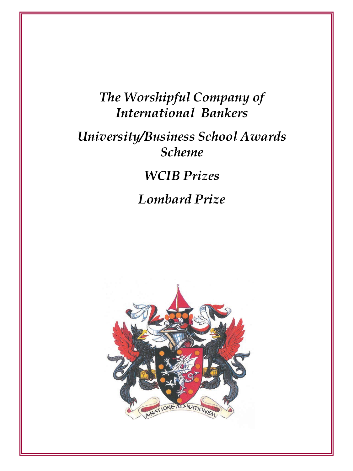#### *The Worshipful Company of International Bankers*

#### *University/Business School Awards Scheme*

## *WCIB Prizes*

### *Lombard Prize*

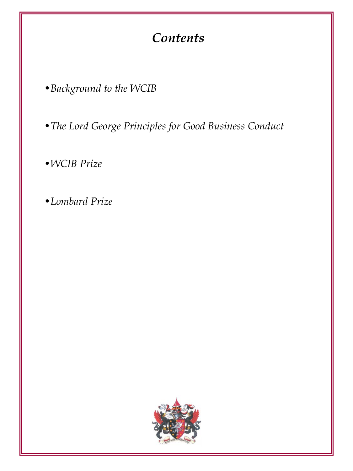### *Contents*

•*Background to the WCIB*

•*The Lord George Principles for Good Business Conduct*

•*WCIB Prize*

•*Lombard Prize*

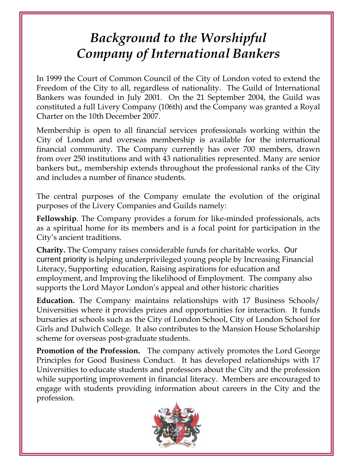## *Background to the Worshipful Company of International Bankers*

In 1999 the Court of Common Council of the City of London voted to extend the Freedom of the City to all, regardless of nationality. The Guild of International Bankers was founded in July 2001. On the 21 September 2004, the Guild was constituted a full Livery Company (106th) and the Company was granted a Royal Charter on the 10th December 2007.

Membership is open to all financial services professionals working within the City of London and overseas membership is available for the international financial community. The Company currently has over 700 members, drawn from over 250 institutions and with 43 nationalities represented. Many are senior bankers but,, membership extends throughout the professional ranks of the City and includes a number of finance students.

The central purposes of the Company emulate the evolution of the original purposes of the Livery Companies and Guilds namely:

**Fellowship**. The Company provides a forum for like-minded professionals, acts as a spiritual home for its members and is a focal point for participation in the City's ancient traditions.

**Charity.** The Company raises considerable funds for charitable works. Our current priority is helping underprivileged young people by Increasing Financial Literacy, Supporting education, Raising aspirations for education and employment, and Improving the likelihood of Employment. The company also supports the Lord Mayor London's appeal and other historic charities

**Education.** The Company maintains relationships with 17 Business Schools/ Universities where it provides prizes and opportunities for interaction. It funds bursaries at schools such as the City of London School, City of London School for Girls and Dulwich College. It also contributes to the Mansion House Scholarship scheme for overseas post-graduate students.

**Promotion of the Profession.** The company actively promotes the Lord George Principles for Good Business Conduct. It has developed relationships with 17 Universities to educate students and professors about the City and the profession while supporting improvement in financial literacy. Members are encouraged to engage with students providing information about careers in the City and the profession.

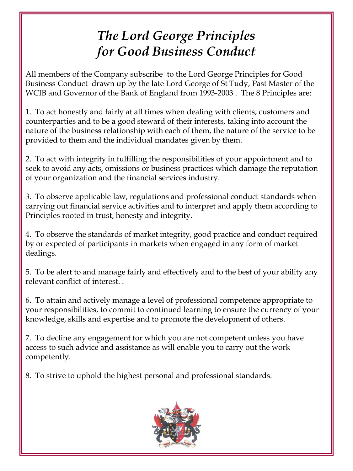# *The Lord George Principles for Good Business Conduct*

All members of the Company subscribe to the Lord George Principles for Good Business Conduct drawn up by the late Lord George of St Tudy, Past Master of the WCIB and Governor of the Bank of England from 1993-2003 . The 8 Principles are:

1. To act honestly and fairly at all times when dealing with clients, customers and counterparties and to be a good steward of their interests, taking into account the nature of the business relationship with each of them, the nature of the service to be provided to them and the individual mandates given by them.

2. To act with integrity in fulfilling the responsibilities of your appointment and to seek to avoid any acts, omissions or business practices which damage the reputation of your organization and the financial services industry.

3. To observe applicable law, regulations and professional conduct standards when carrying out financial service activities and to interpret and apply them according to Principles rooted in trust, honesty and integrity.

4. To observe the standards of market integrity, good practice and conduct required by or expected of participants in markets when engaged in any form of market dealings.

5. To be alert to and manage fairly and effectively and to the best of your ability any relevant conflict of interest. .

6. To attain and actively manage a level of professional competence appropriate to your responsibilities, to commit to continued learning to ensure the currency of your knowledge, skills and expertise and to promote the development of others.

7. To decline any engagement for which you are not competent unless you have access to such advice and assistance as will enable you to carry out the work competently.

8. To strive to uphold the highest personal and professional standards.

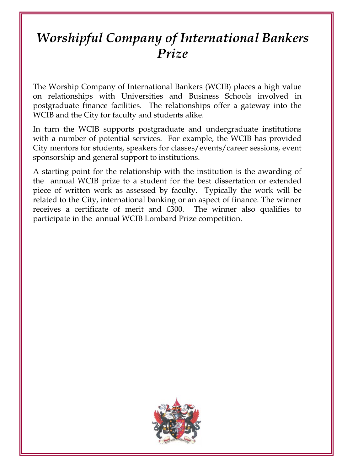## *Worshipful Company of International Bankers Prize*

The Worship Company of International Bankers (WCIB) places a high value on relationships with Universities and Business Schools involved in postgraduate finance facilities. The relationships offer a gateway into the WCIB and the City for faculty and students alike.

In turn the WCIB supports postgraduate and undergraduate institutions with a number of potential services. For example, the WCIB has provided City mentors for students, speakers for classes/events/career sessions, event sponsorship and general support to institutions.

A starting point for the relationship with the institution is the awarding of the annual WCIB prize to a student for the best dissertation or extended piece of written work as assessed by faculty. Typically the work will be related to the City, international banking or an aspect of finance. The winner receives a certificate of merit and £300. The winner also qualifies to participate in the annual WCIB Lombard Prize competition.

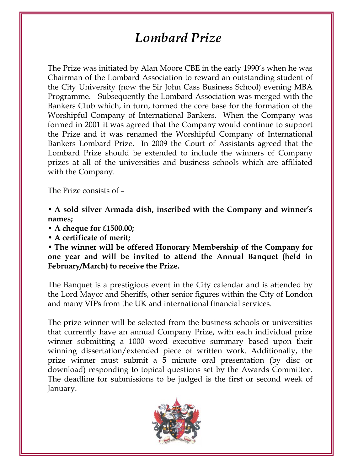#### *Lombard Prize*

The Prize was initiated by Alan Moore CBE in the early 1990's when he was Chairman of the Lombard Association to reward an outstanding student of the City University (now the Sir John Cass Business School) evening MBA Programme. Subsequently the Lombard Association was merged with the Bankers Club which, in turn, formed the core base for the formation of the Worshipful Company of International Bankers. When the Company was formed in 2001 it was agreed that the Company would continue to support the Prize and it was renamed the Worshipful Company of International Bankers Lombard Prize. In 2009 the Court of Assistants agreed that the Lombard Prize should be extended to include the winners of Company prizes at all of the universities and business schools which are affiliated with the Company.

The Prize consists of –

• **A sold silver Armada dish, inscribed with the Company and winner's names;**

• **A cheque for £1500.00;**

• **A certificate of merit;**

• **The winner will be offered Honorary Membership of the Company for one year and will be invited to attend the Annual Banquet (held in February/March) to receive the Prize.**

The Banquet is a prestigious event in the City calendar and is attended by the Lord Mayor and Sheriffs, other senior figures within the City of London and many VIPs from the UK and international financial services.

The prize winner will be selected from the business schools or universities that currently have an annual Company Prize, with each individual prize winner submitting a 1000 word executive summary based upon their winning dissertation/extended piece of written work. Additionally, the prize winner must submit a 5 minute oral presentation (by disc or download) responding to topical questions set by the Awards Committee. The deadline for submissions to be judged is the first or second week of January.